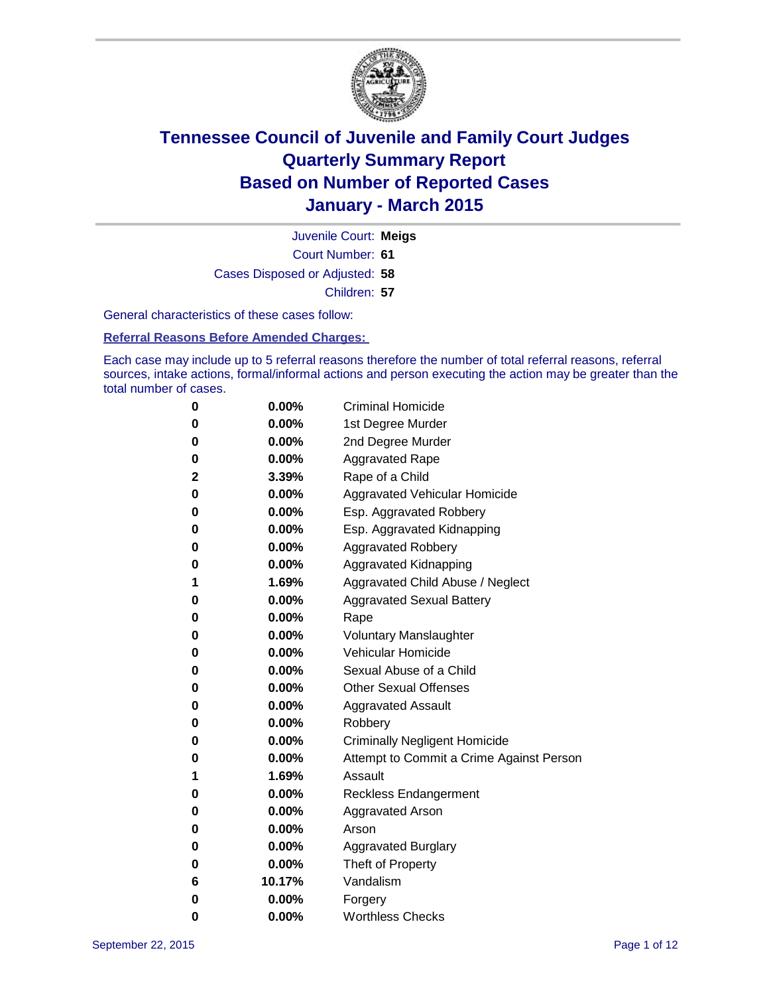

Court Number: **61** Juvenile Court: **Meigs** Cases Disposed or Adjusted: **58** Children: **57**

General characteristics of these cases follow:

**Referral Reasons Before Amended Charges:** 

Each case may include up to 5 referral reasons therefore the number of total referral reasons, referral sources, intake actions, formal/informal actions and person executing the action may be greater than the total number of cases.

| 0        | $0.00\%$ | <b>Criminal Homicide</b>                 |
|----------|----------|------------------------------------------|
| 0        | $0.00\%$ | 1st Degree Murder                        |
| $\bf{0}$ | $0.00\%$ | 2nd Degree Murder                        |
| $\bf{0}$ | $0.00\%$ | <b>Aggravated Rape</b>                   |
| 2        | $3.39\%$ | Rape of a Child                          |
| 0        | $0.00\%$ | Aggravated Vehicular Homicide            |
| $\bf{0}$ | 0.00%    | Esp. Aggravated Robbery                  |
| 0        | $0.00\%$ | Esp. Aggravated Kidnapping               |
| 0        | $0.00\%$ | <b>Aggravated Robbery</b>                |
| 0        | $0.00\%$ | Aggravated Kidnapping                    |
| 1        | 1.69%    | Aggravated Child Abuse / Neglect         |
| 0        | $0.00\%$ | <b>Aggravated Sexual Battery</b>         |
| 0        | $0.00\%$ | Rape                                     |
| 0        | $0.00\%$ | <b>Voluntary Manslaughter</b>            |
| 0        | 0.00%    | <b>Vehicular Homicide</b>                |
| 0        | $0.00\%$ | Sexual Abuse of a Child                  |
| 0        | $0.00\%$ | <b>Other Sexual Offenses</b>             |
| $\bf{0}$ | $0.00\%$ | <b>Aggravated Assault</b>                |
| 0        | 0.00%    | Robbery                                  |
| 0        | $0.00\%$ | <b>Criminally Negligent Homicide</b>     |
| 0        | $0.00\%$ | Attempt to Commit a Crime Against Person |
| 1        | 1.69%    | Assault                                  |
| $\bf{0}$ | 0.00%    | <b>Reckless Endangerment</b>             |
| 0        | $0.00\%$ | <b>Aggravated Arson</b>                  |
| 0        | $0.00\%$ | Arson                                    |
| $\bf{0}$ | $0.00\%$ | <b>Aggravated Burglary</b>               |
| 0        | $0.00\%$ | Theft of Property                        |
| 6        | 10.17%   | Vandalism                                |
| $\bf{0}$ | $0.00\%$ | Forgery                                  |
| 0        | $0.00\%$ | <b>Worthless Checks</b>                  |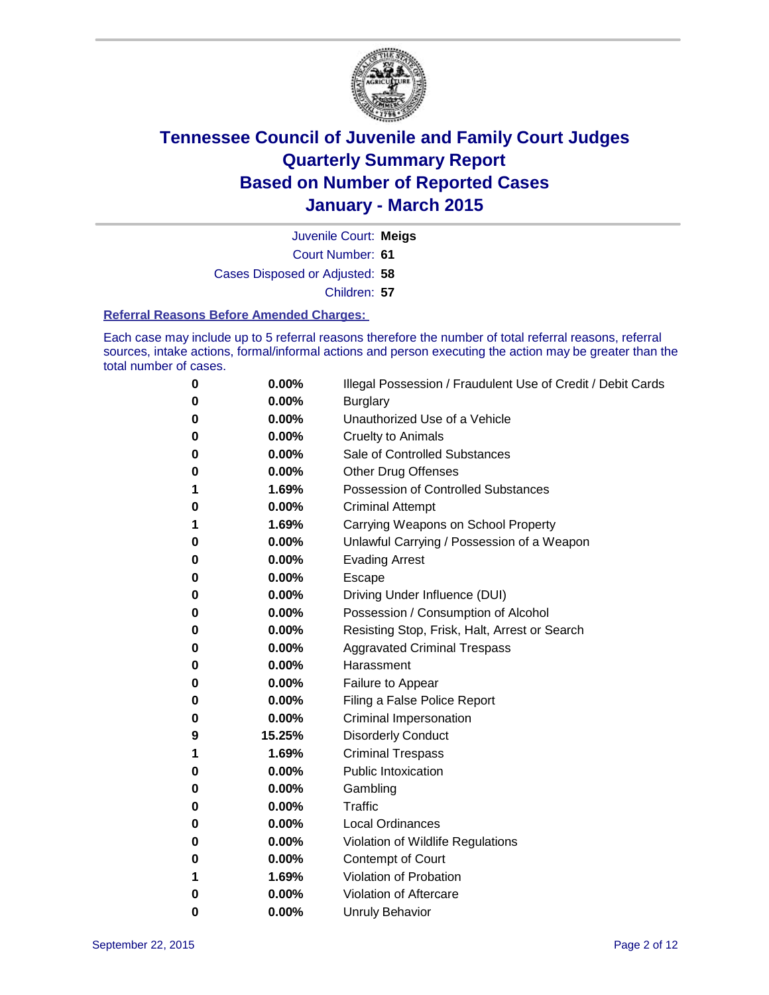

Court Number: **61** Juvenile Court: **Meigs** Cases Disposed or Adjusted: **58** Children: **57**

#### **Referral Reasons Before Amended Charges:**

Each case may include up to 5 referral reasons therefore the number of total referral reasons, referral sources, intake actions, formal/informal actions and person executing the action may be greater than the total number of cases.

| 0 | 0.00%  | Illegal Possession / Fraudulent Use of Credit / Debit Cards |
|---|--------|-------------------------------------------------------------|
| 0 | 0.00%  | <b>Burglary</b>                                             |
| 0 | 0.00%  | Unauthorized Use of a Vehicle                               |
| 0 | 0.00%  | <b>Cruelty to Animals</b>                                   |
| 0 | 0.00%  | Sale of Controlled Substances                               |
| 0 | 0.00%  | Other Drug Offenses                                         |
| 1 | 1.69%  | <b>Possession of Controlled Substances</b>                  |
| 0 | 0.00%  | <b>Criminal Attempt</b>                                     |
| 1 | 1.69%  | Carrying Weapons on School Property                         |
| 0 | 0.00%  | Unlawful Carrying / Possession of a Weapon                  |
| 0 | 0.00%  | <b>Evading Arrest</b>                                       |
| 0 | 0.00%  | Escape                                                      |
| 0 | 0.00%  | Driving Under Influence (DUI)                               |
| 0 | 0.00%  | Possession / Consumption of Alcohol                         |
| 0 | 0.00%  | Resisting Stop, Frisk, Halt, Arrest or Search               |
| 0 | 0.00%  | <b>Aggravated Criminal Trespass</b>                         |
| 0 | 0.00%  | Harassment                                                  |
| 0 | 0.00%  | Failure to Appear                                           |
| 0 | 0.00%  | Filing a False Police Report                                |
| 0 | 0.00%  | <b>Criminal Impersonation</b>                               |
| 9 | 15.25% | <b>Disorderly Conduct</b>                                   |
| 1 | 1.69%  | <b>Criminal Trespass</b>                                    |
| 0 | 0.00%  | <b>Public Intoxication</b>                                  |
| 0 | 0.00%  | Gambling                                                    |
| 0 | 0.00%  | <b>Traffic</b>                                              |
| 0 | 0.00%  | <b>Local Ordinances</b>                                     |
| 0 | 0.00%  | Violation of Wildlife Regulations                           |
| 0 | 0.00%  | Contempt of Court                                           |
| 1 | 1.69%  | Violation of Probation                                      |
| 0 | 0.00%  | Violation of Aftercare                                      |
| 0 | 0.00%  | <b>Unruly Behavior</b>                                      |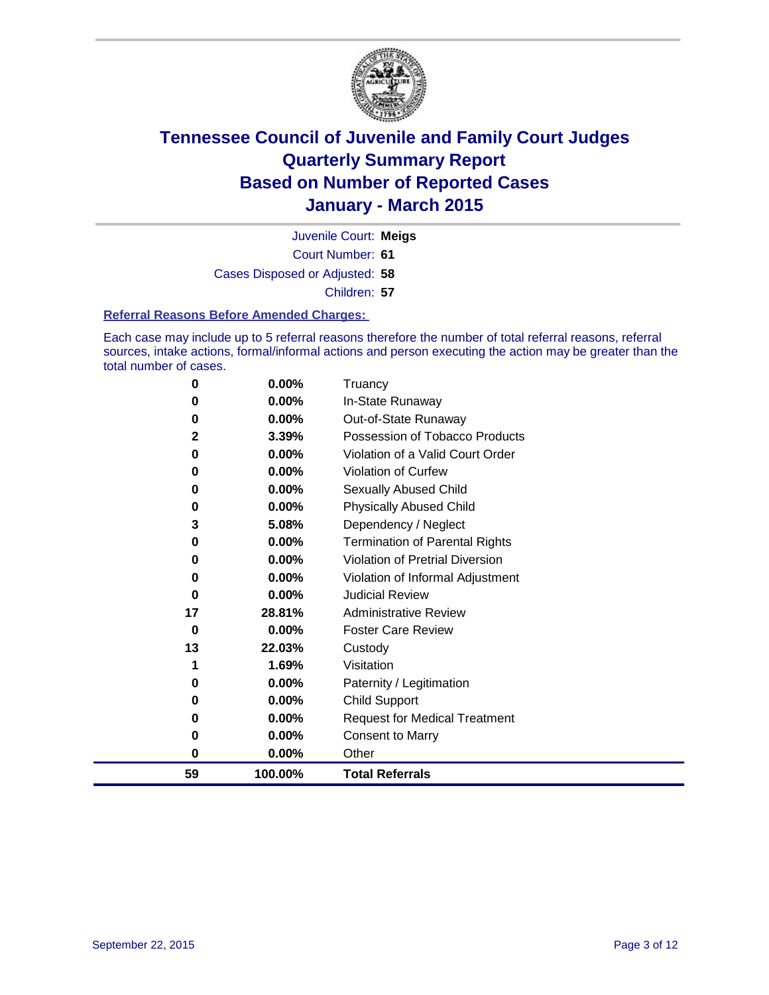

Court Number: **61** Juvenile Court: **Meigs** Cases Disposed or Adjusted: **58** Children: **57**

#### **Referral Reasons Before Amended Charges:**

Each case may include up to 5 referral reasons therefore the number of total referral reasons, referral sources, intake actions, formal/informal actions and person executing the action may be greater than the total number of cases.

| 0            | 0.00%   | Truancy                               |
|--------------|---------|---------------------------------------|
| 0            | 0.00%   | In-State Runaway                      |
| 0            | 0.00%   | Out-of-State Runaway                  |
| $\mathbf{2}$ | 3.39%   | Possession of Tobacco Products        |
| 0            | 0.00%   | Violation of a Valid Court Order      |
| 0            | 0.00%   | <b>Violation of Curfew</b>            |
| 0            | 0.00%   | Sexually Abused Child                 |
| 0            | 0.00%   | <b>Physically Abused Child</b>        |
| 3            | 5.08%   | Dependency / Neglect                  |
| 0            | 0.00%   | <b>Termination of Parental Rights</b> |
| 0            | 0.00%   | Violation of Pretrial Diversion       |
| 0            | 0.00%   | Violation of Informal Adjustment      |
| 0            | 0.00%   | <b>Judicial Review</b>                |
| 17           | 28.81%  | <b>Administrative Review</b>          |
| 0            | 0.00%   | <b>Foster Care Review</b>             |
| 13           | 22.03%  | Custody                               |
| 1            | 1.69%   | Visitation                            |
| 0            | 0.00%   | Paternity / Legitimation              |
| 0            | 0.00%   | Child Support                         |
| 0            | 0.00%   | <b>Request for Medical Treatment</b>  |
| 0            | 0.00%   | <b>Consent to Marry</b>               |
| 0            | 0.00%   | Other                                 |
| 59           | 100.00% | <b>Total Referrals</b>                |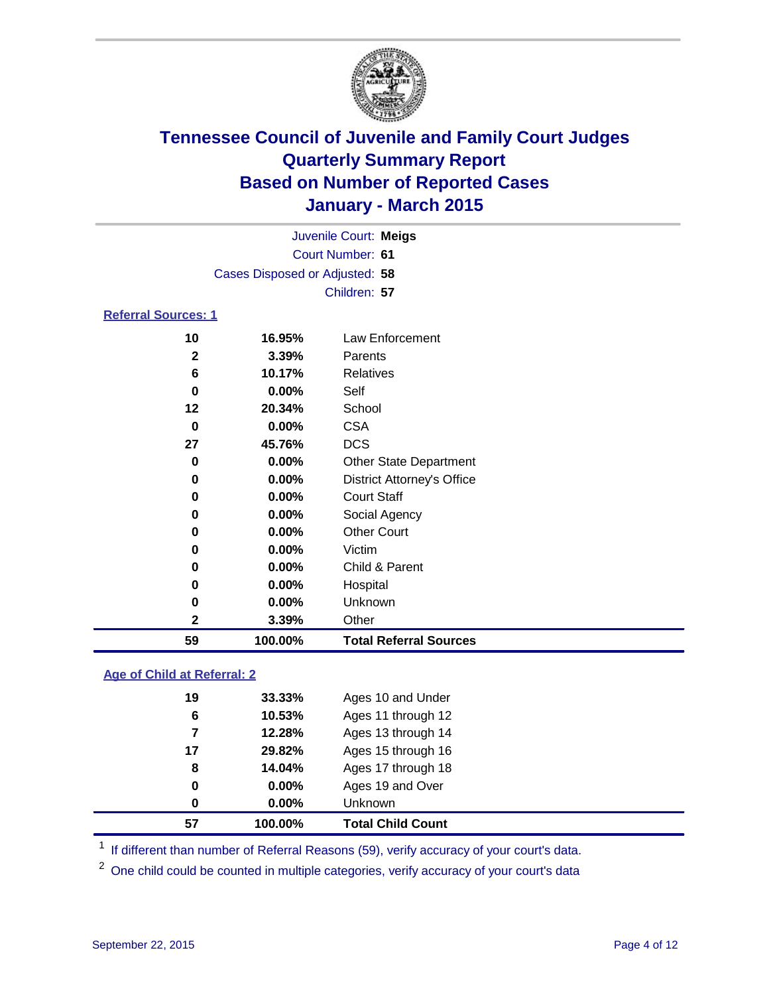

| Juvenile Court: Meigs          |  |
|--------------------------------|--|
| Court Number: 61               |  |
| Cases Disposed or Adjusted: 58 |  |
| Children: 57                   |  |
| <b>Referral Sources: 1</b>     |  |

| 59 | 100.00%  | <b>Total Referral Sources</b>     |
|----|----------|-----------------------------------|
| 2  | 3.39%    | Other                             |
| 0  | 0.00%    | Unknown                           |
| 0  | 0.00%    | Hospital                          |
| 0  | 0.00%    | Child & Parent                    |
| 0  | 0.00%    | Victim                            |
| 0  | 0.00%    | <b>Other Court</b>                |
| 0  | $0.00\%$ | Social Agency                     |
| 0  | 0.00%    | <b>Court Staff</b>                |
| 0  | 0.00%    | <b>District Attorney's Office</b> |
| 0  | 0.00%    | <b>Other State Department</b>     |
| 27 | 45.76%   | <b>DCS</b>                        |
| 0  | $0.00\%$ | <b>CSA</b>                        |
| 12 | 20.34%   | School                            |
| 0  | 0.00%    | Self                              |
| 6  | 10.17%   | Relatives                         |
| 2  | 3.39%    | Parents                           |
| 10 | 16.95%   | Law Enforcement                   |

#### **Age of Child at Referral: 2**

| 57 | 100.00%  | <b>Total Child Count</b> |
|----|----------|--------------------------|
| 0  | $0.00\%$ | Unknown                  |
| 0  | $0.00\%$ | Ages 19 and Over         |
| 8  | 14.04%   | Ages 17 through 18       |
| 17 | 29.82%   | Ages 15 through 16       |
| 7  | 12.28%   | Ages 13 through 14       |
| 6  | 10.53%   | Ages 11 through 12       |
| 19 | 33.33%   | Ages 10 and Under        |
|    |          |                          |

<sup>1</sup> If different than number of Referral Reasons (59), verify accuracy of your court's data.

One child could be counted in multiple categories, verify accuracy of your court's data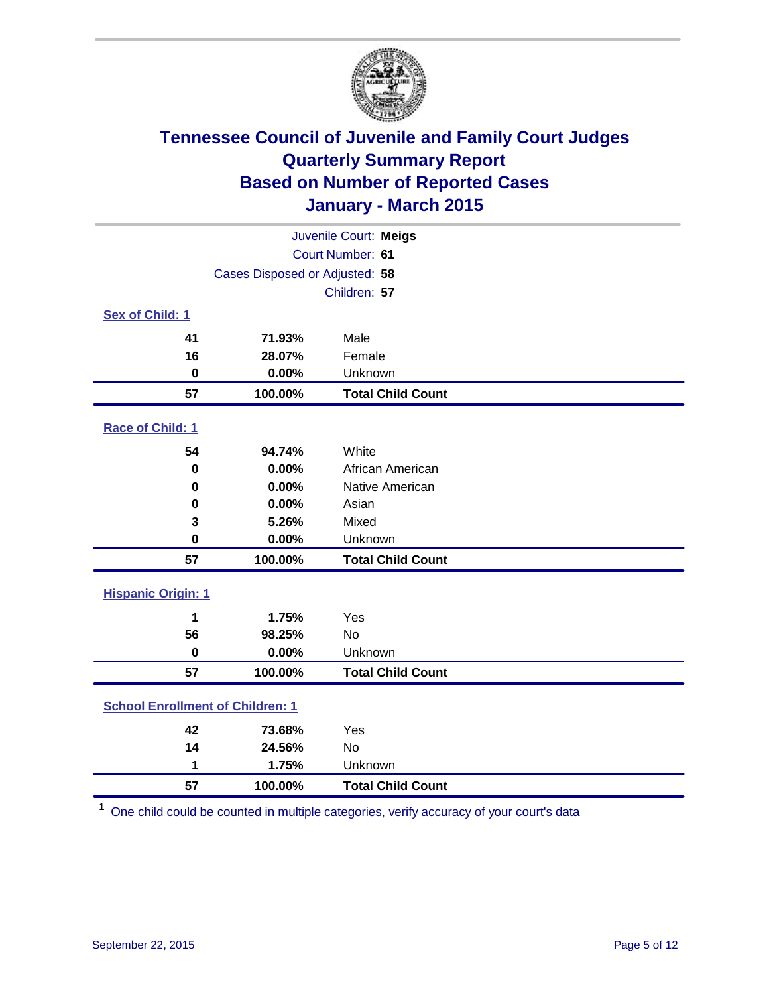

| Juvenile Court: Meigs                   |                  |                          |  |  |  |
|-----------------------------------------|------------------|--------------------------|--|--|--|
|                                         | Court Number: 61 |                          |  |  |  |
| Cases Disposed or Adjusted: 58          |                  |                          |  |  |  |
|                                         |                  | Children: 57             |  |  |  |
| Sex of Child: 1                         |                  |                          |  |  |  |
| 41                                      | 71.93%           | Male                     |  |  |  |
| 16                                      | 28.07%           | Female                   |  |  |  |
| $\bf{0}$                                | 0.00%            | Unknown                  |  |  |  |
| 57                                      | 100.00%          | <b>Total Child Count</b> |  |  |  |
| Race of Child: 1                        |                  |                          |  |  |  |
| 54                                      | 94.74%           | White                    |  |  |  |
| $\pmb{0}$                               | 0.00%            | African American         |  |  |  |
| $\bf{0}$                                | 0.00%            | Native American          |  |  |  |
| 0                                       | 0.00%            | Asian                    |  |  |  |
| 3                                       | 5.26%            | Mixed                    |  |  |  |
| 0                                       | 0.00%            | Unknown                  |  |  |  |
| 57                                      | 100.00%          | <b>Total Child Count</b> |  |  |  |
| <b>Hispanic Origin: 1</b>               |                  |                          |  |  |  |
| 1                                       | 1.75%            | Yes                      |  |  |  |
| 56                                      | 98.25%           | <b>No</b>                |  |  |  |
| $\bf{0}$                                | 0.00%            | Unknown                  |  |  |  |
| 57                                      | 100.00%          | <b>Total Child Count</b> |  |  |  |
| <b>School Enrollment of Children: 1</b> |                  |                          |  |  |  |
| 42                                      | 73.68%           | Yes                      |  |  |  |
| 14                                      | 24.56%           | <b>No</b>                |  |  |  |
| 1                                       | 1.75%            | Unknown                  |  |  |  |
| 57                                      | 100.00%          | <b>Total Child Count</b> |  |  |  |

One child could be counted in multiple categories, verify accuracy of your court's data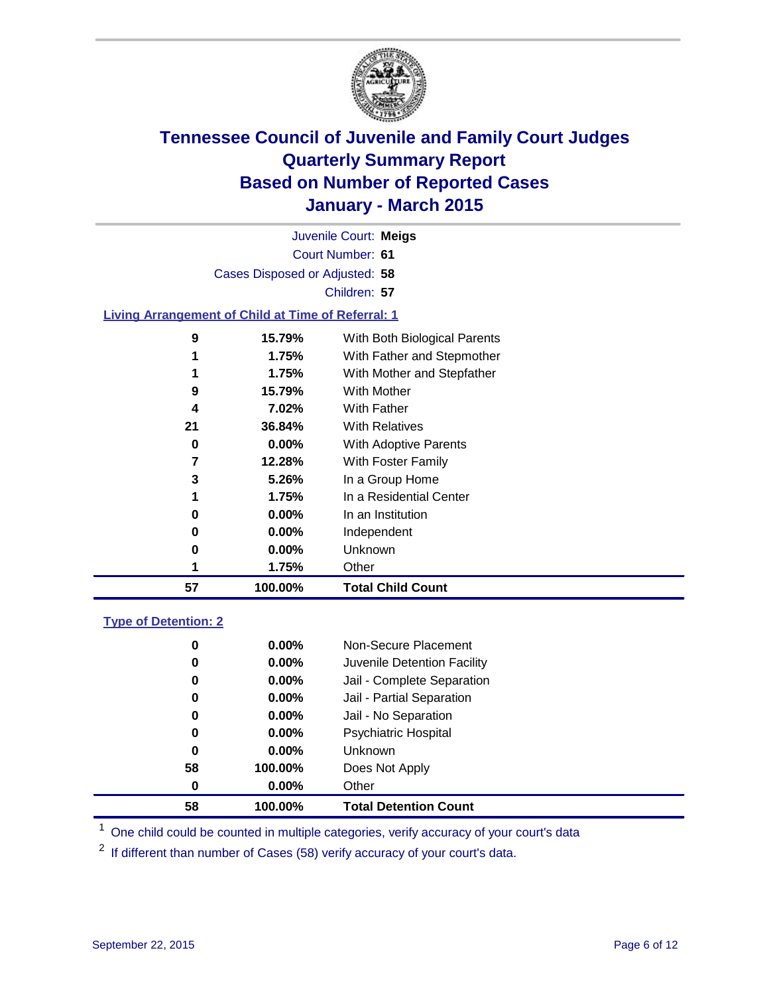

|   | Juvenile Court: Meigs                                     |                              |
|---|-----------------------------------------------------------|------------------------------|
|   | Court Number: 61                                          |                              |
|   | Cases Disposed or Adjusted: 58                            |                              |
|   | Children: 57                                              |                              |
|   | <b>Living Arrangement of Child at Time of Referral: 1</b> |                              |
| Ω | 15 70 <sup>0</sup>                                        | With Roth Riological Parante |

| 57 | 100.00%  | <b>Total Child Count</b>     |
|----|----------|------------------------------|
|    | 1.75%    | Other                        |
| 0  | 0.00%    | Unknown                      |
| 0  | $0.00\%$ | Independent                  |
| 0  | 0.00%    | In an Institution            |
|    | 1.75%    | In a Residential Center      |
| 3  | 5.26%    | In a Group Home              |
| 7  | 12.28%   | With Foster Family           |
| 0  | $0.00\%$ | <b>With Adoptive Parents</b> |
| 21 | 36.84%   | <b>With Relatives</b>        |
| 4  | 7.02%    | With Father                  |
| 9  | 15.79%   | <b>With Mother</b>           |
|    | 1.75%    | With Mother and Stepfather   |
|    | 1.75%    | With Father and Stepmother   |
| 9  | 15.79%   | With Both Biological Parents |

#### **Type of Detention: 2**

| 58 | 100.00%  | <b>Total Detention Count</b> |
|----|----------|------------------------------|
| 0  | $0.00\%$ | Other                        |
| 58 | 100.00%  | Does Not Apply               |
| 0  | $0.00\%$ | <b>Unknown</b>               |
| 0  | $0.00\%$ | <b>Psychiatric Hospital</b>  |
| 0  | $0.00\%$ | Jail - No Separation         |
| 0  | 0.00%    | Jail - Partial Separation    |
| 0  | $0.00\%$ | Jail - Complete Separation   |
| 0  | 0.00%    | Juvenile Detention Facility  |
| 0  | $0.00\%$ | Non-Secure Placement         |

<sup>1</sup> One child could be counted in multiple categories, verify accuracy of your court's data

If different than number of Cases (58) verify accuracy of your court's data.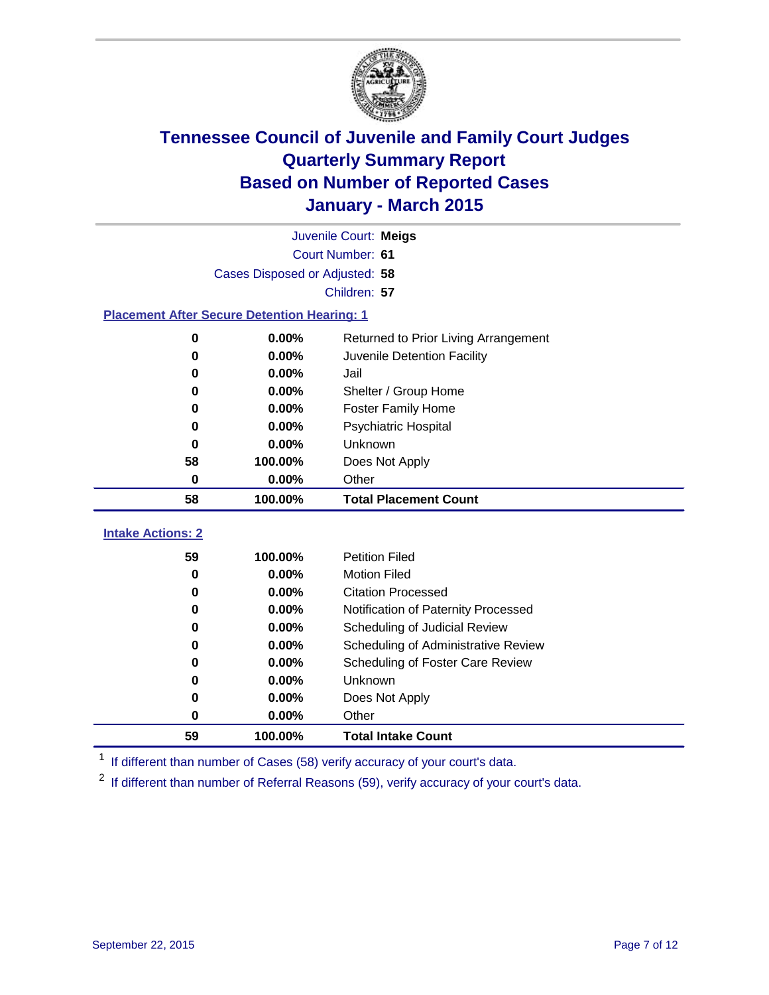

|                          |                                                    | Juvenile Court: Meigs                |
|--------------------------|----------------------------------------------------|--------------------------------------|
|                          |                                                    | Court Number: 61                     |
|                          | Cases Disposed or Adjusted: 58                     |                                      |
|                          |                                                    | Children: 57                         |
|                          | <b>Placement After Secure Detention Hearing: 1</b> |                                      |
| 0                        | $0.00\%$                                           | Returned to Prior Living Arrangement |
| 0                        | $0.00\%$                                           | Juvenile Detention Facility          |
| 0                        | $0.00\%$                                           | Jail                                 |
| 0                        | $0.00\%$                                           | Shelter / Group Home                 |
| 0                        | $0.00\%$                                           | <b>Foster Family Home</b>            |
| 0                        | $0.00\%$                                           | <b>Psychiatric Hospital</b>          |
| 0                        | $0.00\%$                                           | <b>Unknown</b>                       |
| 58                       | 100.00%                                            | Does Not Apply                       |
| 0                        | $0.00\%$                                           | Other                                |
| 58                       | 100.00%                                            | <b>Total Placement Count</b>         |
| <b>Intake Actions: 2</b> |                                                    |                                      |
| 59                       | 100.00%                                            | <b>Petition Filed</b>                |

| 59 | 100.00%    | <b>Total Intake Count</b>           |
|----|------------|-------------------------------------|
| 0  | $0.00\%$   | Other                               |
| 0  | $0.00\%$   | Does Not Apply                      |
| 0  | $0.00\%$   | <b>Unknown</b>                      |
| 0  | $0.00\%$   | Scheduling of Foster Care Review    |
| 0  | $0.00\%$   | Scheduling of Administrative Review |
| 0  | $0.00\%$   | Scheduling of Judicial Review       |
| 0  | $0.00\%$   | Notification of Paternity Processed |
| 0  | $0.00\%$   | <b>Citation Processed</b>           |
| 0  | $0.00\%$   | <b>Motion Filed</b>                 |
| ວວ | 1 UU.UU 70 | <b>Fellioff</b> Filed               |

<sup>1</sup> If different than number of Cases (58) verify accuracy of your court's data.

<sup>2</sup> If different than number of Referral Reasons (59), verify accuracy of your court's data.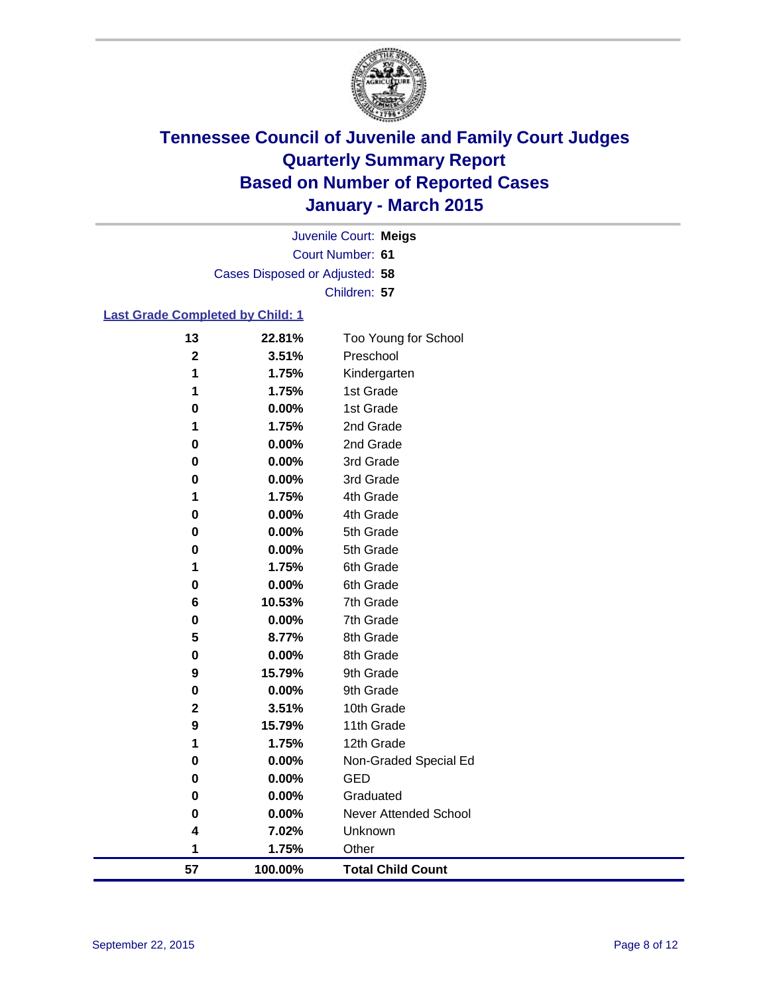

Court Number: **61** Juvenile Court: **Meigs** Cases Disposed or Adjusted: **58** Children: **57**

#### **Last Grade Completed by Child: 1**

| 13          | 22.81%  | Too Young for School         |
|-------------|---------|------------------------------|
| $\mathbf 2$ | 3.51%   | Preschool                    |
| 1           | 1.75%   | Kindergarten                 |
| 1           | 1.75%   | 1st Grade                    |
| 0           | 0.00%   | 1st Grade                    |
| 1           | 1.75%   | 2nd Grade                    |
| 0           | 0.00%   | 2nd Grade                    |
| 0           | 0.00%   | 3rd Grade                    |
| 0           | 0.00%   | 3rd Grade                    |
| 1           | 1.75%   | 4th Grade                    |
| 0           | 0.00%   | 4th Grade                    |
| 0           | 0.00%   | 5th Grade                    |
| 0           | 0.00%   | 5th Grade                    |
| 1           | 1.75%   | 6th Grade                    |
| 0           | 0.00%   | 6th Grade                    |
| 6           | 10.53%  | 7th Grade                    |
| 0           | 0.00%   | 7th Grade                    |
| 5           | 8.77%   | 8th Grade                    |
| 0           | 0.00%   | 8th Grade                    |
| 9           | 15.79%  | 9th Grade                    |
| 0           | 0.00%   | 9th Grade                    |
| $\mathbf 2$ | 3.51%   | 10th Grade                   |
| 9           | 15.79%  | 11th Grade                   |
| 1           | 1.75%   | 12th Grade                   |
| 0           | 0.00%   | Non-Graded Special Ed        |
| 0           | 0.00%   | <b>GED</b>                   |
| 0           | 0.00%   | Graduated                    |
| 0           | 0.00%   | <b>Never Attended School</b> |
| 4           | 7.02%   | Unknown                      |
| 1           | 1.75%   | Other                        |
| 57          | 100.00% | <b>Total Child Count</b>     |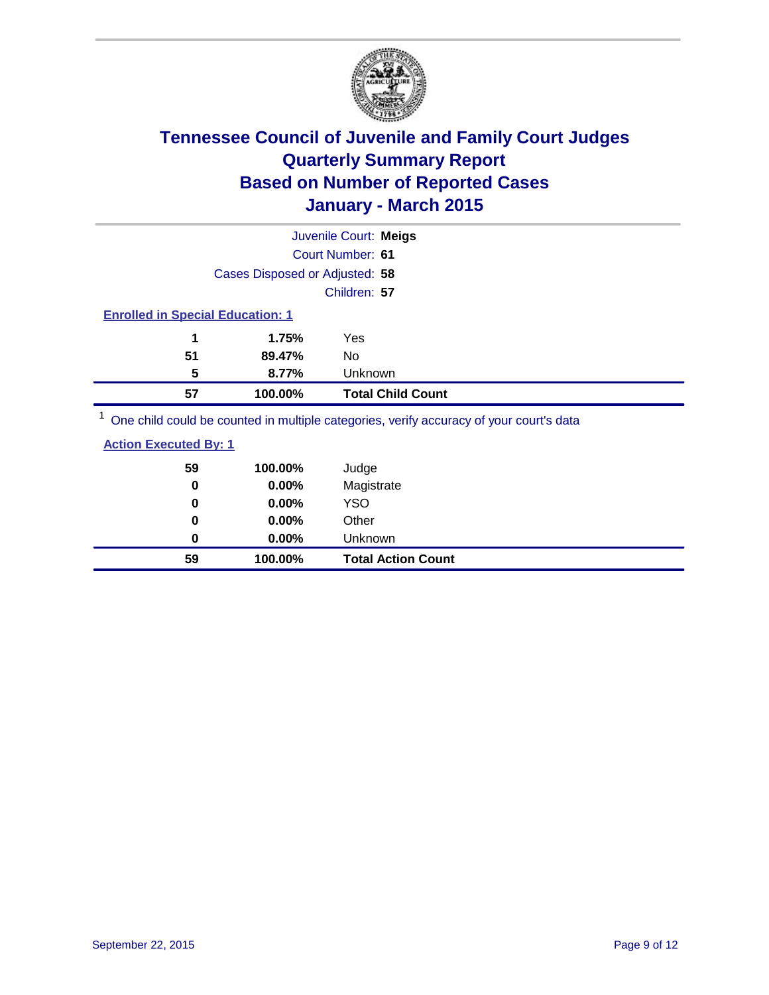

|                                         |                                | Juvenile Court: Meigs                                                                                          |
|-----------------------------------------|--------------------------------|----------------------------------------------------------------------------------------------------------------|
|                                         |                                | Court Number: 61                                                                                               |
|                                         | Cases Disposed or Adjusted: 58 |                                                                                                                |
|                                         |                                | Children: 57                                                                                                   |
| <b>Enrolled in Special Education: 1</b> |                                |                                                                                                                |
| 1                                       | 1.75%                          | Yes                                                                                                            |
| 51                                      | 89.47%                         | No                                                                                                             |
| 5                                       | 8.77%                          | Unknown                                                                                                        |
| 57                                      | 100.00%                        | <b>Total Child Count</b>                                                                                       |
|                                         |                                | . On a called a could be a consequent to model a contraction of the consequence of consequents along the $\mu$ |

<sup>1</sup> One child could be counted in multiple categories, verify accuracy of your court's data

#### **Action Executed By: 1**

| 59<br>0 | 100.00%<br>0.00% | Judge<br>Magistrate       |
|---------|------------------|---------------------------|
| 0       | $0.00\%$         | <b>YSO</b>                |
| 0       | $0.00\%$         | Other                     |
| 0       | $0.00\%$         | Unknown                   |
| 59      | 100.00%          | <b>Total Action Count</b> |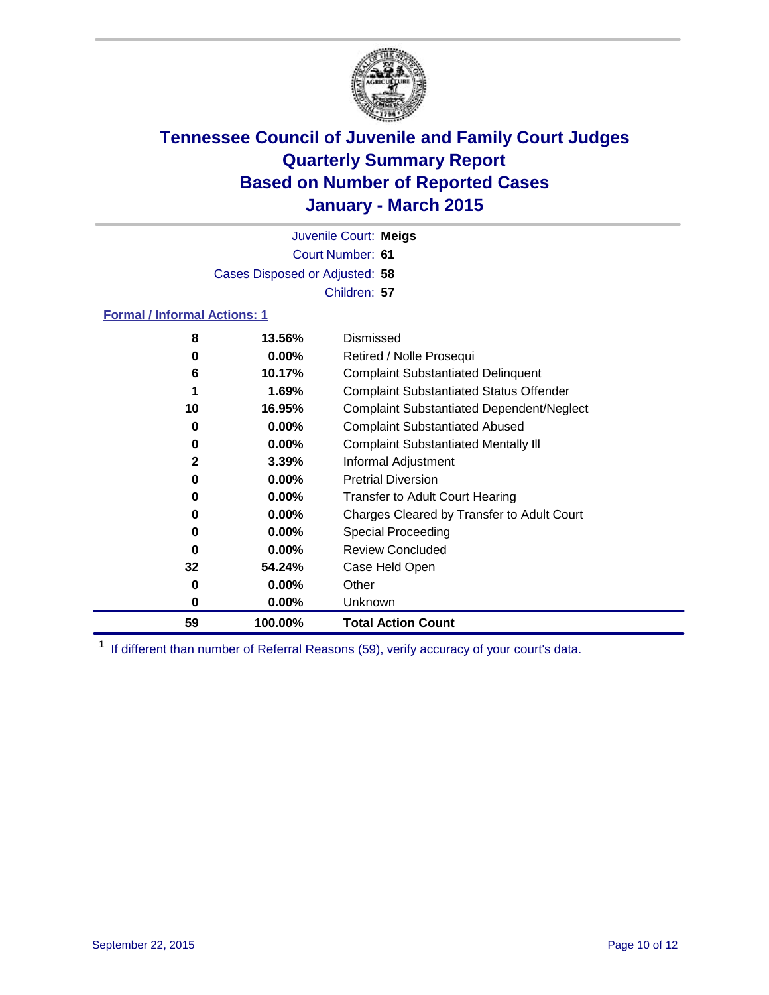

Court Number: **61** Juvenile Court: **Meigs** Cases Disposed or Adjusted: **58** Children: **57**

#### **Formal / Informal Actions: 1**

| 8            | 13.56%   | Dismissed                                        |
|--------------|----------|--------------------------------------------------|
| 0            | $0.00\%$ | Retired / Nolle Prosequi                         |
| 6            | 10.17%   | <b>Complaint Substantiated Delinquent</b>        |
| 1            | 1.69%    | <b>Complaint Substantiated Status Offender</b>   |
| 10           | 16.95%   | <b>Complaint Substantiated Dependent/Neglect</b> |
| 0            | $0.00\%$ | <b>Complaint Substantiated Abused</b>            |
| 0            | $0.00\%$ | <b>Complaint Substantiated Mentally III</b>      |
| $\mathbf{2}$ | 3.39%    | Informal Adjustment                              |
| 0            | $0.00\%$ | <b>Pretrial Diversion</b>                        |
| 0            | $0.00\%$ | <b>Transfer to Adult Court Hearing</b>           |
| 0            | $0.00\%$ | Charges Cleared by Transfer to Adult Court       |
| 0            | $0.00\%$ | Special Proceeding                               |
| 0            | $0.00\%$ | <b>Review Concluded</b>                          |
| 32           | 54.24%   | Case Held Open                                   |
| 0            | $0.00\%$ | Other                                            |
| 0            | $0.00\%$ | Unknown                                          |
| 59           | 100.00%  | <b>Total Action Count</b>                        |

<sup>1</sup> If different than number of Referral Reasons (59), verify accuracy of your court's data.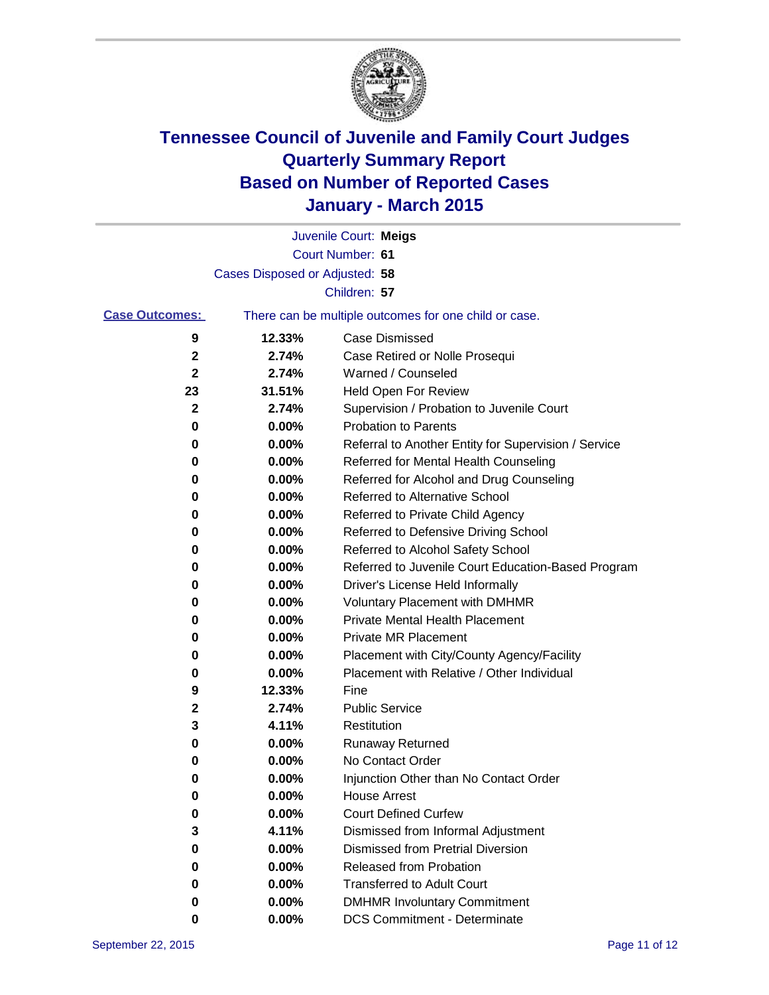

|                       |                                | Juvenile Court: Meigs                                 |
|-----------------------|--------------------------------|-------------------------------------------------------|
|                       |                                | Court Number: 61                                      |
|                       | Cases Disposed or Adjusted: 58 |                                                       |
|                       |                                | Children: 57                                          |
| <b>Case Outcomes:</b> |                                | There can be multiple outcomes for one child or case. |
| 9                     | 12.33%                         | Case Dismissed                                        |
| 2                     | 2.74%                          | Case Retired or Nolle Prosequi                        |
| 2                     | 2.74%                          | Warned / Counseled                                    |
| 23                    | 31.51%                         | <b>Held Open For Review</b>                           |
| 2                     | 2.74%                          | Supervision / Probation to Juvenile Court             |
| 0                     | 0.00%                          | <b>Probation to Parents</b>                           |
| 0                     | 0.00%                          | Referral to Another Entity for Supervision / Service  |
| 0                     | 0.00%                          | Referred for Mental Health Counseling                 |
| 0                     | 0.00%                          | Referred for Alcohol and Drug Counseling              |
| 0                     | 0.00%                          | <b>Referred to Alternative School</b>                 |
| 0                     | 0.00%                          | Referred to Private Child Agency                      |
| 0                     | 0.00%                          | Referred to Defensive Driving School                  |
| 0                     | 0.00%                          | Referred to Alcohol Safety School                     |
| 0                     | 0.00%                          | Referred to Juvenile Court Education-Based Program    |
| 0                     | 0.00%                          | Driver's License Held Informally                      |
| 0                     | 0.00%                          | <b>Voluntary Placement with DMHMR</b>                 |
| 0                     | 0.00%                          | <b>Private Mental Health Placement</b>                |
| 0                     | 0.00%                          | <b>Private MR Placement</b>                           |
| 0                     | 0.00%                          | Placement with City/County Agency/Facility            |
| 0                     | 0.00%                          | Placement with Relative / Other Individual            |
| 9                     | 12.33%                         | Fine                                                  |
| 2                     | 2.74%                          | <b>Public Service</b>                                 |
| 3                     | 4.11%                          | Restitution                                           |
| 0                     | 0.00%                          | <b>Runaway Returned</b>                               |
| 0                     | 0.00%                          | No Contact Order                                      |
| 0                     | 0.00%                          | Injunction Other than No Contact Order                |
| 0                     | 0.00%                          | <b>House Arrest</b>                                   |
| 0                     | 0.00%                          | <b>Court Defined Curfew</b>                           |
| 3                     | 4.11%                          | Dismissed from Informal Adjustment                    |
| 0                     | 0.00%                          | <b>Dismissed from Pretrial Diversion</b>              |
| 0                     | 0.00%                          | Released from Probation                               |
| 0                     | 0.00%                          | <b>Transferred to Adult Court</b>                     |
| 0                     | 0.00%                          | <b>DMHMR Involuntary Commitment</b>                   |
| 0                     | 0.00%                          | <b>DCS Commitment - Determinate</b>                   |